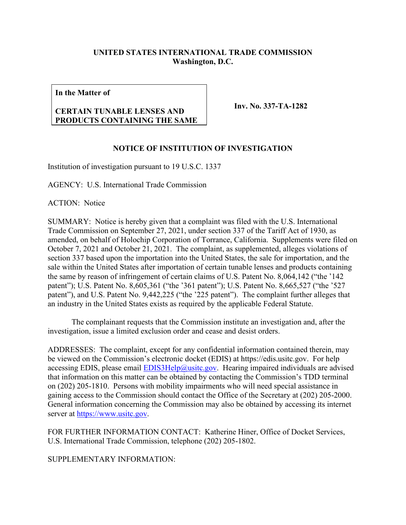## **UNITED STATES INTERNATIONAL TRADE COMMISSION Washington, D.C.**

**In the Matter of**

## **CERTAIN TUNABLE LENSES AND PRODUCTS CONTAINING THE SAME**

**Inv. No. 337-TA-1282**

## **NOTICE OF INSTITUTION OF INVESTIGATION**

Institution of investigation pursuant to 19 U.S.C. 1337

AGENCY: U.S. International Trade Commission

ACTION: Notice

SUMMARY: Notice is hereby given that a complaint was filed with the U.S. International Trade Commission on September 27, 2021, under section 337 of the Tariff Act of 1930, as amended, on behalf of Holochip Corporation of Torrance, California. Supplements were filed on October 7, 2021 and October 21, 2021. The complaint, as supplemented, alleges violations of section 337 based upon the importation into the United States, the sale for importation, and the sale within the United States after importation of certain tunable lenses and products containing the same by reason of infringement of certain claims of U.S. Patent No. 8,064,142 ("the '142 patent"); U.S. Patent No. 8,605,361 ("the '361 patent"); U.S. Patent No. 8,665,527 ("the '527 patent"), and U.S. Patent No. 9,442,225 ("the '225 patent"). The complaint further alleges that an industry in the United States exists as required by the applicable Federal Statute.

The complainant requests that the Commission institute an investigation and, after the investigation, issue a limited exclusion order and cease and desist orders.

ADDRESSES: The complaint, except for any confidential information contained therein, may be viewed on the Commission's electronic docket (EDIS) at https://edis.usitc.gov. For help accessing EDIS, please email [EDIS3Help@usitc.gov.](mailto:EDIS3Help@usitc.gov) Hearing impaired individuals are advised that information on this matter can be obtained by contacting the Commission's TDD terminal on (202) 205-1810. Persons with mobility impairments who will need special assistance in gaining access to the Commission should contact the Office of the Secretary at (202) 205-2000. General information concerning the Commission may also be obtained by accessing its internet server at [https://www.usitc.gov.](https://www.usitc.gov/)

FOR FURTHER INFORMATION CONTACT: Katherine Hiner, Office of Docket Services, U.S. International Trade Commission, telephone (202) 205-1802.

SUPPLEMENTARY INFORMATION: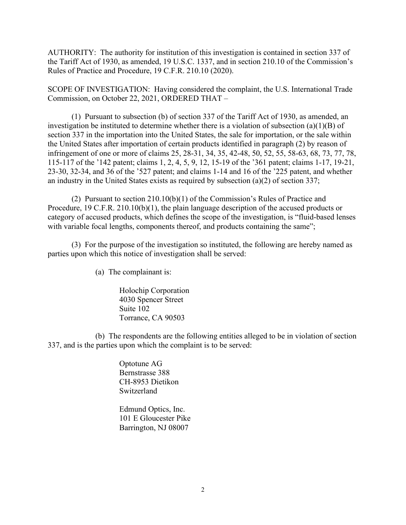AUTHORITY: The authority for institution of this investigation is contained in section 337 of the Tariff Act of 1930, as amended, 19 U.S.C. 1337, and in section 210.10 of the Commission's Rules of Practice and Procedure, 19 C.F.R. 210.10 (2020).

SCOPE OF INVESTIGATION: Having considered the complaint, the U.S. International Trade Commission, on October 22, 2021, ORDERED THAT –

(1) Pursuant to subsection (b) of section 337 of the Tariff Act of 1930, as amended, an investigation be instituted to determine whether there is a violation of subsection (a)(1)(B) of section 337 in the importation into the United States, the sale for importation, or the sale within the United States after importation of certain products identified in paragraph (2) by reason of infringement of one or more of claims 25, 28-31, 34, 35, 42-48, 50, 52, 55, 58-63, 68, 73, 77, 78, 115-117 of the '142 patent; claims 1, 2, 4, 5, 9, 12, 15-19 of the '361 patent; claims 1-17, 19-21, 23-30, 32-34, and 36 of the '527 patent; and claims 1-14 and 16 of the '225 patent, and whether an industry in the United States exists as required by subsection (a)(2) of section 337;

(2) Pursuant to section 210.10(b)(1) of the Commission's Rules of Practice and Procedure, 19 C.F.R. 210.10(b)(1), the plain language description of the accused products or category of accused products, which defines the scope of the investigation, is "fluid-based lenses with variable focal lengths, components thereof, and products containing the same";

(3) For the purpose of the investigation so instituted, the following are hereby named as parties upon which this notice of investigation shall be served:

(a) The complainant is:

Holochip Corporation 4030 Spencer Street Suite 102 Torrance, CA 90503

(b) The respondents are the following entities alleged to be in violation of section 337, and is the parties upon which the complaint is to be served:

> Optotune AG Bernstrasse 388 CH-8953 Dietikon Switzerland

Edmund Optics, Inc. 101 E Gloucester Pike Barrington, NJ 08007